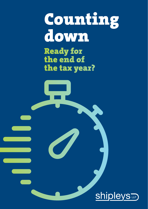# Counting down

Ready for the end of the tax year?

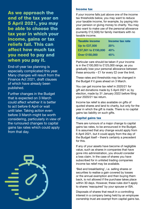As we approach the end of the tax year on 5 April 2021, you may be able to choose the tax year in which your income, gains or tax reliefs fall. This can affect how much tax you need to pay and when you pay it.

End-of-year tax planning is especially complicated this year. Many changes will result from the Finance Act 2021, draft clauses of which have already been published.

Further changes in the Budget that is expected on 3 March could affect whether it is better to act before 6 April or wait until later. Taking action even before 3 March might be worth considering, particularly in view of the rumoured changes to capital gains tax rates which could apply from that day.



#### Income tax

If your income falls just above one of the income tax thresholds below, you may want to reduce your taxable income, for example, by paying into your pension or giving money to charity. You may also want to make use of the personal allowance (currently £12,500) for family members with no taxable income.

| <b>Taxable income</b> | Income tax rate |
|-----------------------|-----------------|
| Up to £37,500         | 20%             |
| £37,501 to £150,000   | 40%             |
| <b>Over £150,000</b>  | 45%             |

Particular care should be taken if your income is in the £100,000 to £125,000 range, as you gradually lose your personal allowance between these amounts  $-$  £1 for every £2 over the limit.

These rates and thresholds may be changed in the Budget if it goes ahead on 3 March.

You can get income tax relief in 2020/21 for gift aid donations made by 5 April 2021 or, by election, made by 31 January 2022 before filing your 2020/21 tax return.

Income tax relief is also available on gifts of quoted shares and land to charity, but only for the year in which the gift is made. There is no capital gains tax liability on such gifts.

#### Capital gains tax

There are rumours of a major change to capital gains tax rates, to be announced in the Budget. It is assumed that any change would apply from 6 April 2021, but it could apply from the day of the Budget itself – there's certainly a precedent for this.

If any of your assets have become of negligible value, such as shares in companies that have gone into administration, you should consider a loss claim. In the case of shares you have subscribed for in unlisted trading companies income tax relief may be available.

'Bed and breakfasting', i.e. selling shares or securities to realise a gain covered by losses or the annual exemption and then buying them back, is not allowed if the purchase takes place within 30 days. However, these rules don't apply to shares 'reacquired' by your spouse or ISA.

Disposals of shares that result in a controlling interest in a company being held by an employee ownership trust are exempt from capital gains tax.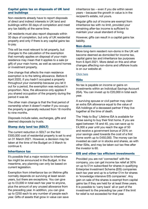#### Capital gains tax on disposals of UK land and buildings

Non-residents already have to report disposals of direct and indirect interests in UK land and buildings within 30 days of completion and meet any tax liability at the same time.

UK residents must also report disposals within 30 days of completion, but only of UK residential property and only if there is any capital gains tax to pay.

This will be most relevant to let property, but changes to the calculation of the exemption that normally applies on disposal of your main residence may mean that it applies to a sale (or gift) of your main home, as well as second homes or investment property.

One change that affects the main residence exemption is to the letting allowance. Before 6 April 2020, if you hadn't occupied a property throughout your ownership because you let it out for a period, the exemption was reduced in proportion. Now, the allowance only applies if you shared occupation of the property during the period it was let.

The other main change is that the final period of ownership when it doesn't matter if you occupy the property is generally reduced from 18 months to nine months.

Disposals include sales, exchanges, gifts and deemed disposals by trusts.

#### Stamp duty land tax (SDLT)

The current reduction in SDLT on the first £500,000 cost of residential property is set to end on 31 March 2021. However, a decision may be taken at the time of the Budget on 3 March to continue it.

#### Inheritance tax

It's possible that a major revision to inheritance tax might be announced in the Budget. In the meantime, any planning can only be based on current legislation.

Exemption from inheritance tax on lifetime gifts normally depends on surviving at least seven years, but there are exceptions. You can give up to £3,000 in total each tax year to anyone, plus the amount of any unused allowance from the preceding year. In addition, you can give up to £250 each to any number of people each year. Gifts of assets that grow in value can save

inheritance tax – even if you die within seven years – because the growth in value is in the recipient's estate, not yours.

Regular gifts out of income are exempt from inheritance tax with no limit, provided your remaining after-tax income is sufficient to maintain your usual standard of living.

However, gifts can result in a capital gains tax liability.

#### Non-doms

More long-term resident non-doms in the UK will become deemed as domiciled for income tax, capital gains tax and inheritance tax purposes from 6 April 2021. More detail on this and other changes affecting non-doms and offshore trusts is on our website at:

#### [Click here](https://www.shipleys.com/resources/current-issues/%20non-domiciliaries-income-gains)

#### ISAs

No tax is payable on income or gains on investments within an Individual Savings Account (ISA). You can invest up to £20,000 in total each year.

A surviving spouse or civil partner may claim an extra ISA allowance equal to the value of ISA holdings of a deceased partner if they live together at the time of death.

The 'Help to Buy' Lifetime ISA is available for those saving to buy their first home. If you are aged between 18 and 40, you can save up to £4,000 a year until you reach the age of 50 and receive a government bonus of 25% on your savings used towards the cost of a first home worth up to £450,000. The money can be invested as cash or in stocks and shares, as with other ISAs, and may be taken out tax-free after the investor is 60.

#### EIS and other tax efficient investments

Provided you are not 'connected' with the company, you can get income tax relief at 30% on up to £1m subscribed for shares in qualifying Enterprise Investment Scheme (EIS) companies each tax year and up to a further £1m for shares in 'knowledge intensive EIS companies'. Any gain on sale of the shares is exempt from capital gains tax if they are held for at least three years. It is possible to 'carry back' all or part of the investment to the preceding tax year if the limit for relief is not exceeded for that year.